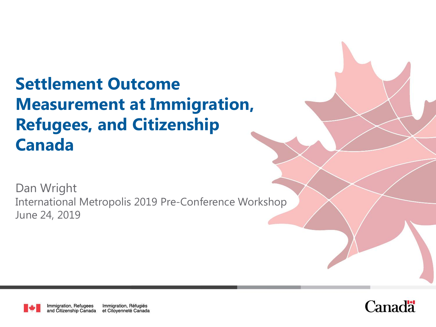# **Settlement Outcome Measurement at Immigration, Refugees, and Citizenship Canada**

Dan Wright International Metropolis 2019 Pre-Conference Workshop June 24, 2019

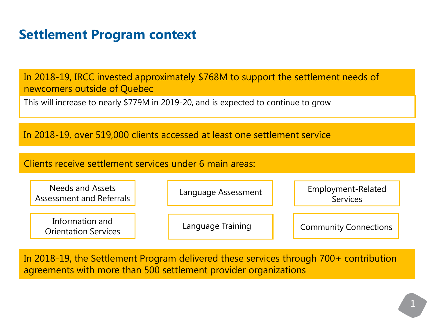## **Settlement Program context**

In 2018-19, IRCC invested approximately \$768M to support the settlement needs of newcomers outside of Quebec

This will increase to nearly \$779M in 2019-20, and is expected to continue to grow

In 2018-19, over 519,000 clients accessed at least one settlement service

Clients receive settlement services under 6 main areas:

Needs and Assets Assessment and Referrals Information and Orientation Services Language Assessment Language Training Employment-Related **Services** Community Connections

In 2018-19, the Settlement Program delivered these services through 700+ contribution agreements with more than 500 settlement provider organizations

 $\overline{2}$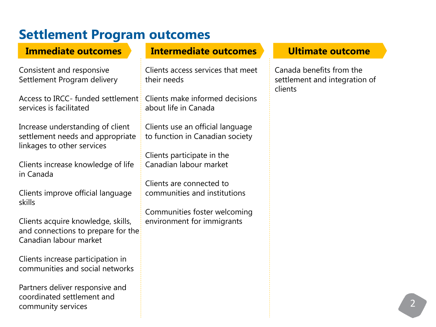## **Settlement Program outcomes**

#### **Immediate outcomes**

Consistent and responsive Settlement Program delivery

Access to IRCC- funded settlement services is facilitated

Increase understanding of client settlement needs and appropriate linkages to other services

Clients increase knowledge of life in Canada

Clients improve official language skills

Clients acquire knowledge, skills, and connections to prepare for the Canadian labour market

Clients increase participation in communities and social networks

Partners deliver responsive and coordinated settlement and community services

#### **Intermediate outcomes Ultimate outcome**

Clients access services that meet their needs

Clients make informed decisions about life in Canada

Clients use an official language to function in Canadian society

Clients participate in the Canadian labour market

Clients are connected to communities and institutions

Communities foster welcoming environment for immigrants

Canada benefits from the settlement and integration of clients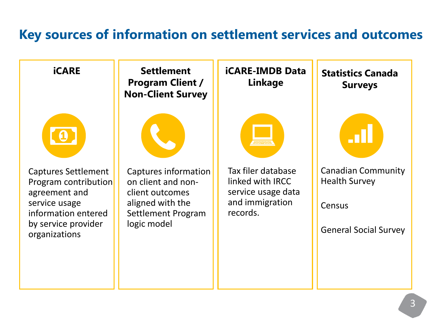#### **Key sources of information on settlement services and outcomes**

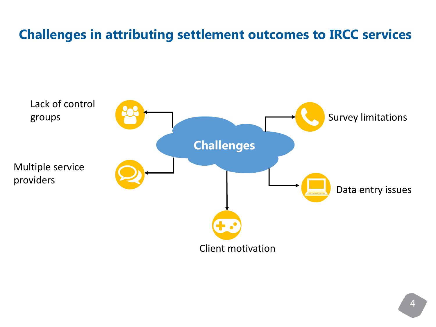# **Challenges in attributing settlement outcomes to IRCC services**

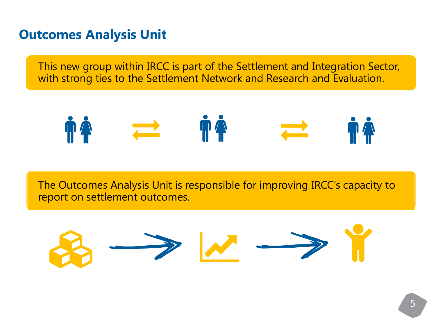#### **Outcomes Analysis Unit**

This new group within IRCC is part of the Settlement and Integration Sector, with strong ties to the Settlement Network and Research and Evaluation.

$$
\mathbf{M} \qquad \rightleftharpoons \qquad \mathbf{M} \qquad \qquad \mathbf{M} \qquad \qquad \mathbf{M} \qquad \qquad \mathbf{M} \qquad \qquad \mathbf{M} \qquad \qquad \mathbf{M} \qquad \qquad \mathbf{M} \qquad \qquad \mathbf{M} \qquad \mathbf{M} \qquad \mathbf{M} \qquad \mathbf{M} \qquad \mathbf{M} \qquad \mathbf{M} \qquad \mathbf{M} \qquad \mathbf{M} \qquad \mathbf{M} \qquad \mathbf{M} \qquad \mathbf{M} \qquad \mathbf{M} \qquad \mathbf{M} \qquad \mathbf{M} \qquad \mathbf{M} \qquad \mathbf{M} \qquad \mathbf{M} \qquad \mathbf{M} \qquad \mathbf{M} \qquad \mathbf{M} \qquad \mathbf{M} \qquad \mathbf{M} \qquad \mathbf{M} \qquad \mathbf{M} \qquad \mathbf{M} \qquad \mathbf{M} \qquad \mathbf{M} \qquad \mathbf{M} \qquad \mathbf{M} \qquad \mathbf{M} \qquad \mathbf{M} \qquad \mathbf{M} \qquad \mathbf{M} \qquad \mathbf{M} \qquad \mathbf{M} \qquad \mathbf{M} \qquad \mathbf{M} \qquad \mathbf{M} \qquad \mathbf{M} \qquad \mathbf{M} \qquad \mathbf{M} \qquad \mathbf{M} \qquad \mathbf{M} \qquad \mathbf{M} \qquad \mathbf{M} \qquad \mathbf{M} \qquad \mathbf{M} \qquad \mathbf{M} \qquad \mathbf{M} \qquad \mathbf{M} \qquad \mathbf{M} \qquad \mathbf{M} \qquad \mathbf{M} \qquad \mathbf{M} \qquad \mathbf{M} \qquad \mathbf{M} \qquad \mathbf{M} \qquad \mathbf{M} \qquad \mathbf{M} \qquad \mathbf{M} \qquad \mathbf{M} \qquad \mathbf{M} \qquad \mathbf{M} \qquad \mathbf{M} \qquad \mathbf{M} \qquad \mathbf{M} \qquad \mathbf{M} \qquad \mathbf{M} \qquad \mathbf{M} \qquad \mathbf{M} \qquad \mathbf{M} \qquad \mathbf{M} \qquad \mathbf{M} \qquad \
$$

The Outcomes Analysis Unit is responsible for improving IRCC's capacity to report on settlement outcomes.

$$
\mathcal{B} \longrightarrow \mathcal{W} \longrightarrow \mathcal{Y}
$$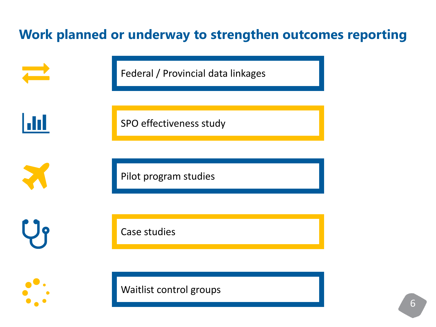# **Work planned or underway to strengthen outcomes reporting**

Federal / Provincial data linkages H SPO effectiveness study Pilot program studies

Case studies

Waitlist control groups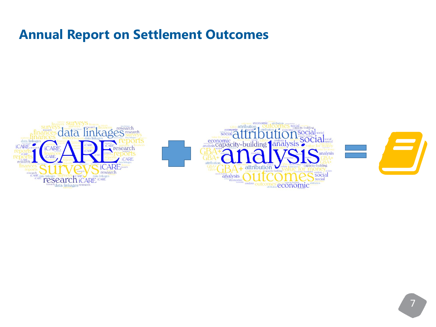# **Annual Report on Settlement Outcomes**